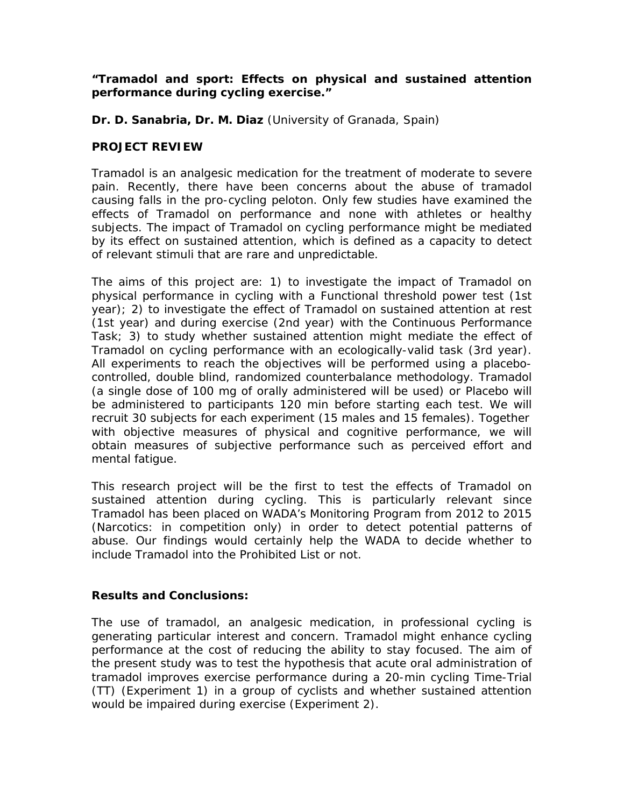## *"Tramadol and sport: Effects on physical and sustained attention performance during cycling exercise."*

**Dr. D. Sanabria, Dr. M. Diaz** (University of Granada, Spain)

## **PROJECT REVIEW**

Tramadol is an analgesic medication for the treatment of moderate to severe pain. Recently, there have been concerns about the abuse of tramadol causing falls in the pro-cycling peloton. Only few studies have examined the effects of Tramadol on performance and none with athletes or healthy subjects. The impact of Tramadol on cycling performance might be mediated by its effect on sustained attention, which is defined as a capacity to detect of relevant stimuli that are rare and unpredictable.

The aims of this project are: 1) to investigate the impact of Tramadol on physical performance in cycling with a Functional threshold power test (1st year); 2) to investigate the effect of Tramadol on sustained attention at rest (1st year) and during exercise (2nd year) with the Continuous Performance Task; 3) to study whether sustained attention might mediate the effect of Tramadol on cycling performance with an ecologically-valid task (3rd year). All experiments to reach the objectives will be performed using a placebocontrolled, double blind, randomized counterbalance methodology. Tramadol (a single dose of 100 mg of orally administered will be used) or Placebo will be administered to participants 120 min before starting each test. We will recruit 30 subjects for each experiment (15 males and 15 females). Together with objective measures of physical and cognitive performance, we will obtain measures of subjective performance such as perceived effort and mental fatigue.

This research project will be the first to test the effects of Tramadol on sustained attention during cycling. This is particularly relevant since Tramadol has been placed on WADA's Monitoring Program from 2012 to 2015 (Narcotics: in competition only) in order to detect potential patterns of abuse. Our findings would certainly help the WADA to decide whether to include Tramadol into the Prohibited List or not.

## **Results and Conclusions:**

The use of tramadol, an analgesic medication, in professional cycling is generating particular interest and concern. Tramadol might enhance cycling performance at the cost of reducing the ability to stay focused. The aim of the present study was to test the hypothesis that acute oral administration of tramadol improves exercise performance during a 20-min cycling Time-Trial (TT) (Experiment 1) in a group of cyclists and whether sustained attention would be impaired during exercise (Experiment 2).